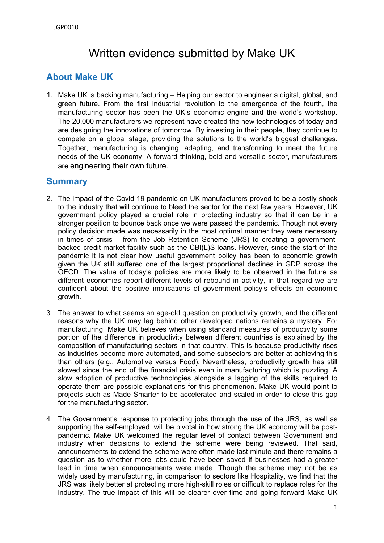# Written evidence submitted by Make UK

## **About Make UK**

1. Make UK is backing manufacturing – Helping our sector to engineer a digital, global, and green future. From the first industrial revolution to the emergence of the fourth, the manufacturing sector has been the UK's economic engine and the world's workshop. The 20,000 manufacturers we represent have created the new technologies of today and are designing the innovations of tomorrow. By investing in their people, they continue to compete on a global stage, providing the solutions to the world's biggest challenges. Together, manufacturing is changing, adapting, and transforming to meet the future needs of the UK economy. A forward thinking, bold and versatile sector, manufacturers are engineering their own future.

### **Summary**

- 2. The impact of the Covid-19 pandemic on UK manufacturers proved to be a costly shock to the industry that will continue to bleed the sector for the next few years. However, UK government policy played a crucial role in protecting industry so that it can be in a stronger position to bounce back once we were passed the pandemic. Though not every policy decision made was necessarily in the most optimal manner they were necessary in times of crisis – from the Job Retention Scheme (JRS) to creating a governmentbacked credit market facility such as the CBI(L)S loans. However, since the start of the pandemic it is not clear how useful government policy has been to economic growth given the UK still suffered one of the largest proportional declines in GDP across the OECD. The value of today's policies are more likely to be observed in the future as different economies report different levels of rebound in activity, in that regard we are confident about the positive implications of government policy's effects on economic growth.
- 3. The answer to what seems an age-old question on productivity growth, and the different reasons why the UK may lag behind other developed nations remains a mystery. For manufacturing, Make UK believes when using standard measures of productivity some portion of the difference in productivity between different countries is explained by the composition of manufacturing sectors in that country. This is because productivity rises as industries become more automated, and some subsectors are better at achieving this than others (e.g., Automotive versus Food). Nevertheless, productivity growth has still slowed since the end of the financial crisis even in manufacturing which is puzzling. A slow adoption of productive technologies alongside a lagging of the skills required to operate them are possible explanations for this phenomenon. Make UK would point to projects such as Made Smarter to be accelerated and scaled in order to close this gap for the manufacturing sector.
- 4. The Government's response to protecting jobs through the use of the JRS, as well as supporting the self-employed, will be pivotal in how strong the UK economy will be postpandemic. Make UK welcomed the regular level of contact between Government and industry when decisions to extend the scheme were being reviewed. That said, announcements to extend the scheme were often made last minute and there remains a question as to whether more jobs could have been saved if businesses had a greater lead in time when announcements were made. Though the scheme may not be as widely used by manufacturing, in comparison to sectors like Hospitality, we find that the JRS was likely better at protecting more high-skill roles or difficult to replace roles for the industry. The true impact of this will be clearer over time and going forward Make UK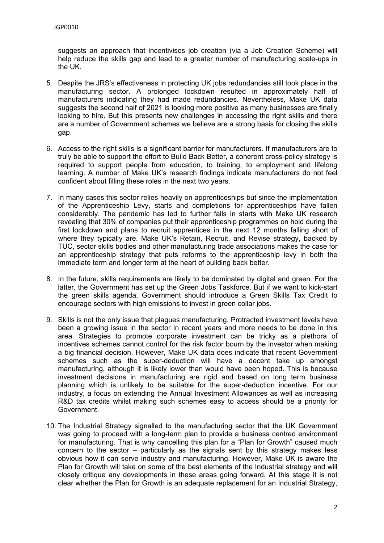suggests an approach that incentivises job creation (via a Job Creation Scheme) will help reduce the skills gap and lead to a greater number of manufacturing scale-ups in the UK.

- 5. Despite the JRS's effectiveness in protecting UK jobs redundancies still took place in the manufacturing sector. A prolonged lockdown resulted in approximately half of manufacturers indicating they had made redundancies. Nevertheless, Make UK data suggests the second half of 2021 is looking more positive as many businesses are finally looking to hire. But this presents new challenges in accessing the right skills and there are a number of Government schemes we believe are a strong basis for closing the skills gap.
- 6. Access to the right skills is a significant barrier for manufacturers. If manufacturers are to truly be able to support the effort to Build Back Better, a coherent cross-policy strategy is required to support people from education, to training, to employment and lifelong learning. A number of Make UK's research findings indicate manufacturers do not feel confident about filling these roles in the next two years.
- 7. In many cases this sector relies heavily on apprenticeships but since the implementation of the Apprenticeship Levy, starts and completions for apprenticeships have fallen considerably. The pandemic has led to further falls in starts with Make UK research revealing that 30% of companies put their apprenticeship programmes on hold during the first lockdown and plans to recruit apprentices in the next 12 months falling short of where they typically are. Make UK's Retain, Recruit, and Revise strategy, backed by TUC, sector skills bodies and other manufacturing trade associations makes the case for an apprenticeship strategy that puts reforms to the apprenticeship levy in both the immediate term and longer term at the heart of building back better.
- 8. In the future, skills requirements are likely to be dominated by digital and green. For the latter, the Government has set up the Green Jobs Taskforce. But if we want to kick-start the green skills agenda, Government should introduce a Green Skills Tax Credit to encourage sectors with high emissions to invest in green collar jobs.
- 9. Skills is not the only issue that plagues manufacturing. Protracted investment levels have been a growing issue in the sector in recent years and more needs to be done in this area. Strategies to promote corporate investment can be tricky as a plethora of incentives schemes cannot control for the risk factor bourn by the investor when making a big financial decision. However, Make UK data does indicate that recent Government schemes such as the super-deduction will have a decent take up amongst manufacturing, although it is likely lower than would have been hoped. This is because investment decisions in manufacturing are rigid and based on long term business planning which is unlikely to be suitable for the super-deduction incentive. For our industry, a focus on extending the Annual Investment Allowances as well as increasing R&D tax credits whilst making such schemes easy to access should be a priority for Government.
- 10. The Industrial Strategy signalled to the manufacturing sector that the UK Government was going to proceed with a long-term plan to provide a business centred environment for manufacturing. That is why cancelling this plan for a "Plan for Growth" caused much concern to the sector  $-$  particularly as the signals sent by this strategy makes less obvious how it can serve industry and manufacturing. However, Make UK is aware the Plan for Growth will take on some of the best elements of the Industrial strategy and will closely critique any developments in these areas going forward. At this stage it is not clear whether the Plan for Growth is an adequate replacement for an Industrial Strategy,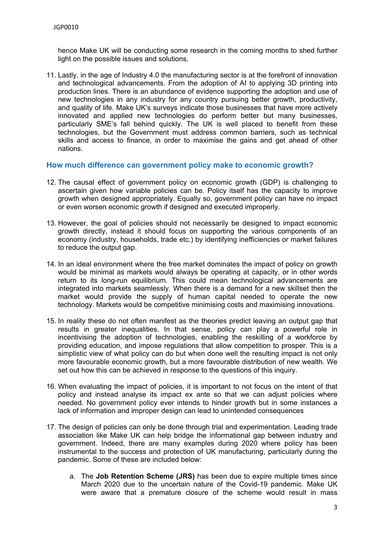hence Make UK will be conducting some research in the coming months to shed further light on the possible issues and solutions.

11. Lastly, in the age of Industry 4.0 the manufacturing sector is at the forefront of innovation and technological advancements. From the adoption of AI to applying 3D printing into production lines. There is an abundance of evidence supporting the adoption and use of new technologies in any industry for any country pursuing better growth, productivity, and quality of life. Make UK's surveys indicate those businesses that have more actively innovated and applied new technologies do perform better but many businesses, particularly SME's fall behind quickly. The UK is well placed to benefit from these technologies, but the Government must address common barriers, such as technical skills and access to finance, in order to maximise the gains and get ahead of other nations.

#### **How much difference can government policy make to economic growth?**

- 12. The causal effect of government policy on economic growth (GDP) is challenging to ascertain given how variable policies can be. Policy itself has the capacity to improve growth when designed appropriately. Equally so, government policy can have no impact or even worsen economic growth if designed and executed improperly.
- 13. However, the goal of policies should not necessarily be designed to impact economic growth directly, instead it should focus on supporting the various components of an economy (industry, households, trade etc.) by identifying inefficiencies or market failures to reduce the output gap.
- 14. In an ideal environment where the free market dominates the impact of policy on growth would be minimal as markets would always be operating at capacity, or in other words return to its long-run equilibrium. This could mean technological advancements are integrated into markets seamlessly. When there is a demand for a new skillset then the market would provide the supply of human capital needed to operate the new technology. Markets would be competitive minimising costs and maximising innovations.
- 15. In reality these do not often manifest as the theories predict leaving an output gap that results in greater inequalities. In that sense, policy can play a powerful role in incentivising the adoption of technologies, enabling the reskilling of a workforce by providing education, and impose regulations that allow competition to prosper. This is a simplistic view of what policy can do but when done well the resulting impact is not only more favourable economic growth, but a more favourable distribution of new wealth. We set out how this can be achieved in response to the questions of this inquiry.
- 16. When evaluating the impact of policies, it is important to not focus on the intent of that policy and instead analyse its impact ex ante so that we can adjust policies where needed. No government policy ever intends to hinder growth but in some instances a lack of information and improper design can lead to unintended consequences
- 17. The design of policies can only be done through trial and experimentation. Leading trade association like Make UK can help bridge the informational gap between industry and government. Indeed, there are many examples during 2020 where policy has been instrumental to the success and protection of UK manufacturing, particularly during the pandemic. Some of these are included below:
	- a. The **Job Retention Scheme (JRS)** has been due to expire multiple times since March 2020 due to the uncertain nature of the Covid-19 pandemic. Make UK were aware that a premature closure of the scheme would result in mass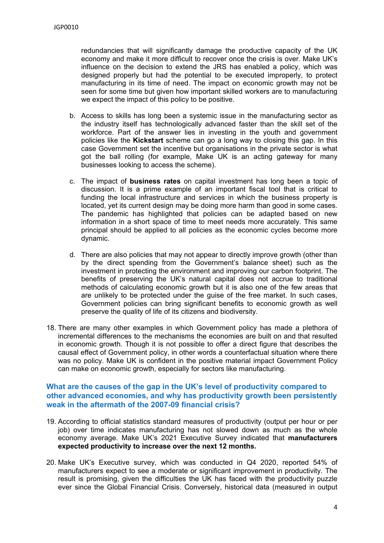redundancies that will significantly damage the productive capacity of the UK economy and make it more difficult to recover once the crisis is over. Make UK's influence on the decision to extend the JRS has enabled a policy, which was designed properly but had the potential to be executed improperly, to protect manufacturing in its time of need. The impact on economic growth may not be seen for some time but given how important skilled workers are to manufacturing we expect the impact of this policy to be positive.

- b. Access to skills has long been a systemic issue in the manufacturing sector as the industry itself has technologically advanced faster than the skill set of the workforce. Part of the answer lies in investing in the youth and government policies like the **Kickstart** scheme can go a long way to closing this gap. In this case Government set the incentive but organisations in the private sector is what got the ball rolling (for example, Make UK is an acting gateway for many businesses looking to access the scheme).
- c. The impact of **business rates** on capital investment has long been a topic of discussion. It is a prime example of an important fiscal tool that is critical to funding the local infrastructure and services in which the business property is located, yet its current design may be doing more harm than good in some cases. The pandemic has highlighted that policies can be adapted based on new information in a short space of time to meet needs more accurately. This same principal should be applied to all policies as the economic cycles become more dynamic.
- d. There are also policies that may not appear to directly improve growth (other than by the direct spending from the Government's balance sheet) such as the investment in protecting the environment and improving our carbon footprint. The benefits of preserving the UK's natural capital does not accrue to traditional methods of calculating economic growth but it is also one of the few areas that are unlikely to be protected under the guise of the free market. In such cases, Government policies can bring significant benefits to economic growth as well preserve the quality of life of its citizens and biodiversity.
- 18. There are many other examples in which Government policy has made a plethora of incremental differences to the mechanisms the economies are built on and that resulted in economic growth. Though it is not possible to offer a direct figure that describes the causal effect of Government policy, in other words a counterfactual situation where there was no policy. Make UK is confident in the positive material impact Government Policy can make on economic growth, especially for sectors like manufacturing.

#### **What are the causes of the gap in the UK's level of productivity compared to other advanced economies, and why has productivity growth been persistently weak in the aftermath of the 2007-09 financial crisis?**

- 19. According to official statistics standard measures of productivity (output per hour or per job) over time indicates manufacturing has not slowed down as much as the whole economy average. Make UK's 2021 Executive Survey indicated that **manufacturers expected productivity to increase over the next 12 months.**
- 20. Make UK's Executive survey, which was conducted in Q4 2020, reported 54% of manufacturers expect to see a moderate or significant improvement in productivity. The result is promising, given the difficulties the UK has faced with the productivity puzzle ever since the Global Financial Crisis. Conversely, historical data (measured in output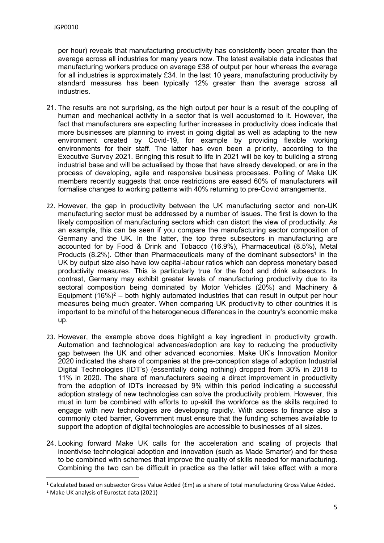per hour) reveals that manufacturing productivity has consistently been greater than the average across all industries for many years now. The latest available data indicates that manufacturing workers produce on average £38 of output per hour whereas the average for all industries is approximately £34. In the last 10 years, manufacturing productivity by standard measures has been typically 12% greater than the average across all industries.

- 21. The results are not surprising, as the high output per hour is a result of the coupling of human and mechanical activity in a sector that is well accustomed to it. However, the fact that manufacturers are expecting further increases in productivity does indicate that more businesses are planning to invest in going digital as well as adapting to the new environment created by Covid-19, for example by providing flexible working environments for their staff. The latter has even been a priority, according to the Executive Survey 2021. Bringing this result to life in 2021 will be key to building a strong industrial base and will be actualised by those that have already developed, or are in the process of developing, agile and responsive business processes. Polling of Make UK members recently suggests that once restrictions are eased 60% of manufacturers will formalise changes to working patterns with 40% returning to pre-Covid arrangements.
- 22. However, the gap in productivity between the UK manufacturing sector and non-UK manufacturing sector must be addressed by a number of issues. The first is down to the likely composition of manufacturing sectors which can distort the view of productivity. As an example, this can be seen if you compare the manufacturing sector composition of Germany and the UK. In the latter, the top three subsectors in manufacturing are accounted for by Food & Drink and Tobacco (16.9%), Pharmaceutical (8.5%), Metal Products  $(8.2\%)$ . Other than Pharmaceuticals many of the dominant subsectors<sup>1</sup> in the UK by output size also have low capital-labour ratios which can depress monetary based productivity measures. This is particularly true for the food and drink subsectors. In contrast, Germany may exhibit greater levels of manufacturing productivity due to its sectoral composition being dominated by Motor Vehicles (20%) and Machinery & Equipment  $(16\%)^2$  – both highly automated industries that can result in output per hour measures being much greater. When comparing UK productivity to other countries it is important to be mindful of the heterogeneous differences in the country's economic make up.
- 23. However, the example above does highlight a key ingredient in productivity growth. Automation and technological advances/adoption are key to reducing the productivity gap between the UK and other advanced economies. Make UK's Innovation Monitor 2020 indicated the share of companies at the pre-conception stage of adoption Industrial Digital Technologies (IDT's) (essentially doing nothing) dropped from 30% in 2018 to 11% in 2020. The share of manufacturers seeing a direct improvement in productivity from the adoption of IDTs increased by 9% within this period indicating a successful adoption strategy of new technologies can solve the productivity problem. However, this must in turn be combined with efforts to up-skill the workforce as the skills required to engage with new technologies are developing rapidly. With access to finance also a commonly cited barrier, Government must ensure that the funding schemes available to support the adoption of digital technologies are accessible to businesses of all sizes.
- 24. Looking forward Make UK calls for the acceleration and scaling of projects that incentivise technological adoption and innovation (such as Made Smarter) and for these to be combined with schemes that improve the quality of skills needed for manufacturing. Combining the two can be difficult in practice as the latter will take effect with a more

<sup>&</sup>lt;sup>1</sup> Calculated based on subsector Gross Value Added ( $Em$ ) as a share of total manufacturing Gross Value Added.

<sup>2</sup> Make UK analysis of Eurostat data (2021)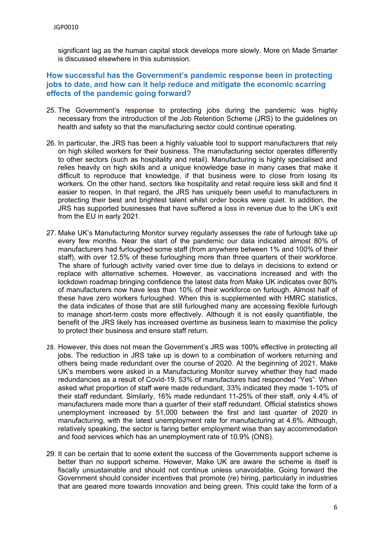significant lag as the human capital stock develops more slowly. More on Made Smarter is discussed elsewhere in this submission.

#### **How successful has the Government's pandemic response been in protecting jobs to date, and how can it help reduce and mitigate the economic scarring effects of the pandemic going forward?**

- 25. The Government's response to protecting jobs during the pandemic was highly necessary from the introduction of the Job Retention Scheme (JRS) to the guidelines on health and safety so that the manufacturing sector could continue operating.
- 26. In particular, the JRS has been a highly valuable tool to support manufacturers that rely on high skilled workers for their business. The manufacturing sector operates differently to other sectors (such as hospitality and retail). Manufacturing is highly specialised and relies heavily on high skills and a unique knowledge base in many cases that make it difficult to reproduce that knowledge, if that business were to close from losing its workers. On the other hand, sectors like hospitality and retail require less skill and find it easier to reopen. In that regard, the JRS has uniquely been useful to manufacturers in protecting their best and brightest talent whilst order books were quiet. In addition, the JRS has supported businesses that have suffered a loss in revenue due to the UK's exit from the EU in early 2021.
- 27. Make UK's Manufacturing Monitor survey regularly assesses the rate of furlough take up every few months. Near the start of the pandemic our data indicated almost 80% of manufacturers had furloughed some staff (from anywhere between 1% and 100% of their staff), with over 12.5% of these furloughing more than three quarters of their workforce. The share of furlough activity varied over time due to delays in decisions to extend or replace with alternative schemes. However, as vaccinations increased and with the lockdown roadmap bringing confidence the latest data from Make UK indicates over 80% of manufacturers now have less than 10% of their workforce on furlough. Almost half of these have zero workers furloughed. When this is supplemented with HMRC statistics, the data indicates of those that are still furloughed many are accessing flexible furlough to manage short-term costs more effectively. Although it is not easily quantifiable, the benefit of the JRS likely has increased overtime as business learn to maximise the policy to protect their business and ensure staff return.
- 28. However, this does not mean the Government's JRS was 100% effective in protecting all jobs. The reduction in JRS take up is down to a combination of workers returning and others being made redundant over the course of 2020. At the beginning of 2021, Make UK's members were asked in a Manufacturing Monitor survey whether they had made redundancies as a result of Covid-19. 53% of manufactures had responded "Yes". When asked what proportion of staff were made redundant, 33% indicated they made 1-10% of their staff redundant. Similarly, 16% made redundant 11-25% of their staff, only 4.4% of manufacturers made more than a quarter of their staff redundant. Official statistics shows unemployment increased by 51,000 between the first and last quarter of 2020 in manufacturing, with the latest unemployment rate for manufacturing at 4.6%. Although, relatively speaking, the sector is faring better employment wise than say accommodation and food services which has an unemployment rate of 10.9% (ONS).
- 29. It can be certain that to some extent the success of the Governments support scheme is better than no support scheme. However, Make UK are aware the scheme is itself is fiscally unsustainable and should not continue unless unavoidable. Going forward the Government should consider incentives that promote (re) hiring, particularly in industries that are geared more towards innovation and being green. This could take the form of a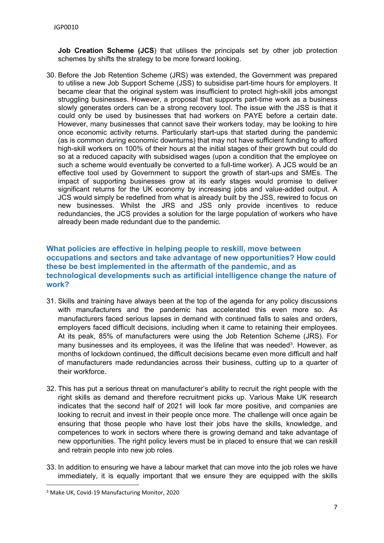**Job Creation Scheme (JCS**) that utilises the principals set by other job protection schemes by shifts the strategy to be more forward looking.

30. Before the Job Retention Scheme (JRS) was extended, the Government was prepared to utilise a new Job Support Scheme (JSS) to subsidise part-time hours for employers. It became clear that the original system was insufficient to protect high-skill jobs amongst struggling businesses. However, a proposal that supports part-time work as a business slowly generates orders can be a strong recovery tool. The issue with the JSS is that it could only be used by businesses that had workers on PAYE before a certain date. However, many businesses that cannot save their workers today, may be looking to hire once economic activity returns. Particularly start-ups that started during the pandemic (as is common during economic downturns) that may not have sufficient funding to afford high-skill workers on 100% of their hours at the initial stages of their growth but could do so at a reduced capacity with subsidised wages (upon a condition that the employee on such a scheme would eventually be converted to a full-time worker). A JCS would be an effective tool used by Government to support the growth of start-ups and SMEs. The impact of supporting businesses grow at its early stages would promise to deliver significant returns for the UK economy by increasing jobs and value-added output. A JCS would simply be redefined from what is already built by the JSS, rewired to focus on new businesses. Whilst the JRS and JSS only provide incentives to reduce redundancies, the JCS provides a solution for the large population of workers who have already been made redundant due to the pandemic.

#### **What policies are effective in helping people to reskill, move between occupations and sectors and take advantage of new opportunities? How could these be best implemented in the aftermath of the pandemic, and as technological developments such as artificial intelligence change the nature of work?**

- 31. Skills and training have always been at the top of the agenda for any policy discussions with manufacturers and the pandemic has accelerated this even more so. As manufacturers faced serious lapses in demand with continued falls to sales and orders, employers faced difficult decisions, including when it came to retaining their employees. At its peak, 85% of manufacturers were using the Job Retention Scheme (JRS). For many businesses and its employees, it was the lifeline that was needed<sup>3</sup>. However, as months of lockdown continued, the difficult decisions became even more difficult and half of manufacturers made redundancies across their business, cutting up to a quarter of their workforce.
- 32. This has put a serious threat on manufacturer's ability to recruit the right people with the right skills as demand and therefore recruitment picks up. Various Make UK research indicates that the second half of 2021 will look far more positive, and companies are looking to recruit and invest in their people once more. The challenge will once again be ensuring that those people who have lost their jobs have the skills, knowledge, and competences to work in sectors where there is growing demand and take advantage of new opportunities. The right policy levers must be in placed to ensure that we can reskill and retrain people into new job roles.
- 33. In addition to ensuring we have a labour market that can move into the job roles we have immediately, it is equally important that we ensure they are equipped with the skills

<sup>3</sup> Make UK, Covid-19 Manufacturing Monitor, 2020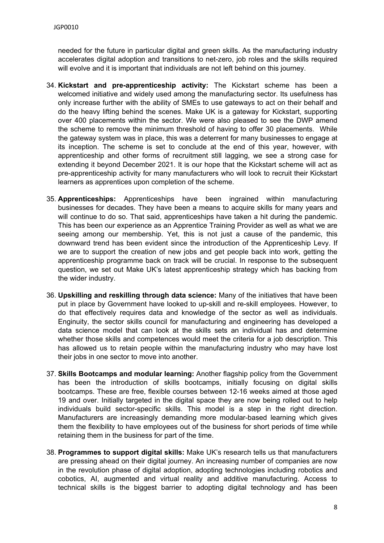needed for the future in particular digital and green skills. As the manufacturing industry accelerates digital adoption and transitions to net-zero, job roles and the skills required will evolve and it is important that individuals are not left behind on this journey.

- 34. **Kickstart and pre-apprenticeship activity:** The Kickstart scheme has been a welcomed initiative and widely used among the manufacturing sector. Its usefulness has only increase further with the ability of SMEs to use gateways to act on their behalf and do the heavy lifting behind the scenes. Make UK is a gateway for Kickstart, supporting over 400 placements within the sector. We were also pleased to see the DWP amend the scheme to remove the minimum threshold of having to offer 30 placements. While the gateway system was in place, this was a deterrent for many businesses to engage at its inception. The scheme is set to conclude at the end of this year, however, with apprenticeship and other forms of recruitment still lagging, we see a strong case for extending it beyond December 2021. It is our hope that the Kickstart scheme will act as pre-apprenticeship activity for many manufacturers who will look to recruit their Kickstart learners as apprentices upon completion of the scheme.
- 35. **Apprenticeships:** Apprenticeships have been ingrained within manufacturing businesses for decades. They have been a means to acquire skills for many years and will continue to do so. That said, apprenticeships have taken a hit during the pandemic. This has been our experience as an Apprentice Training Provider as well as what we are seeing among our membership. Yet, this is not just a cause of the pandemic, this downward trend has been evident since the introduction of the Apprenticeship Levy. If we are to support the creation of new jobs and get people back into work, getting the apprenticeship programme back on track will be crucial. In response to the subsequent question, we set out Make UK's latest apprenticeship strategy which has backing from the wider industry.
- 36. **Upskilling and reskilling through data science:** Many of the initiatives that have been put in place by Government have looked to up-skill and re-skill employees. However, to do that effectively requires data and knowledge of the sector as well as individuals. Enginuity, the sector skills council for manufacturing and engineering has developed a data science model that can look at the skills sets an individual has and determine whether those skills and competences would meet the criteria for a job description. This has allowed us to retain people within the manufacturing industry who may have lost their jobs in one sector to move into another.
- 37. **Skills Bootcamps and modular learning:** Another flagship policy from the Government has been the introduction of skills bootcamps, initially focusing on digital skills bootcamps. These are free, flexible courses between 12-16 weeks aimed at those aged 19 and over. Initially targeted in the digital space they are now being rolled out to help individuals build sector-specific skills. This model is a step in the right direction. Manufacturers are increasingly demanding more modular-based learning which gives them the flexibility to have employees out of the business for short periods of time while retaining them in the business for part of the time.
- 38. **Programmes to support digital skills:** Make UK's research tells us that manufacturers are pressing ahead on their digital journey. An increasing number of companies are now in the revolution phase of digital adoption, adopting technologies including robotics and cobotics, AI, augmented and virtual reality and additive manufacturing. Access to technical skills is the biggest barrier to adopting digital technology and has been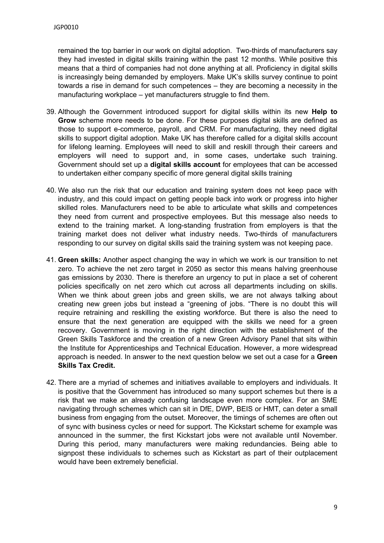remained the top barrier in our work on digital adoption. Two-thirds of manufacturers say they had invested in digital skills training within the past 12 months. While positive this means that a third of companies had not done anything at all. Proficiency in digital skills is increasingly being demanded by employers. Make UK's skills survey continue to point towards a rise in demand for such competences – they are becoming a necessity in the manufacturing workplace – yet manufacturers struggle to find them.

- 39. Although the Government introduced support for digital skills within its new **Help to Grow** scheme more needs to be done. For these purposes digital skills are defined as those to support e-commerce, payroll, and CRM. For manufacturing, they need digital skills to support digital adoption. Make UK has therefore called for a digital skills account for lifelong learning. Employees will need to skill and reskill through their careers and employers will need to support and, in some cases, undertake such training. Government should set up a **digital skills account** for employees that can be accessed to undertaken either company specific of more general digital skills training
- 40. We also run the risk that our education and training system does not keep pace with industry, and this could impact on getting people back into work or progress into higher skilled roles. Manufacturers need to be able to articulate what skills and competences they need from current and prospective employees. But this message also needs to extend to the training market. A long-standing frustration from employers is that the training market does not deliver what industry needs. Two-thirds of manufacturers responding to our survey on digital skills said the training system was not keeping pace.
- 41. **Green skills:** Another aspect changing the way in which we work is our transition to net zero. To achieve the net zero target in 2050 as sector this means halving greenhouse gas emissions by 2030. There is therefore an urgency to put in place a set of coherent policies specifically on net zero which cut across all departments including on skills. When we think about green jobs and green skills, we are not always talking about creating new green jobs but instead a "greening of jobs. "There is no doubt this will require retraining and reskilling the existing workforce. But there is also the need to ensure that the next generation are equipped with the skills we need for a green recovery. Government is moving in the right direction with the establishment of the Green Skills Taskforce and the creation of a new Green Advisory Panel that sits within the Institute for Apprenticeships and Technical Education. However, a more widespread approach is needed. In answer to the next question below we set out a case for a **Green Skills Tax Credit.**
- 42. There are a myriad of schemes and initiatives available to employers and individuals. It is positive that the Government has introduced so many support schemes but there is a risk that we make an already confusing landscape even more complex. For an SME navigating through schemes which can sit in DfE, DWP, BEIS or HMT, can deter a small business from engaging from the outset. Moreover, the timings of schemes are often out of sync with business cycles or need for support. The Kickstart scheme for example was announced in the summer, the first Kickstart jobs were not available until November. During this period, many manufacturers were making redundancies. Being able to signpost these individuals to schemes such as Kickstart as part of their outplacement would have been extremely beneficial.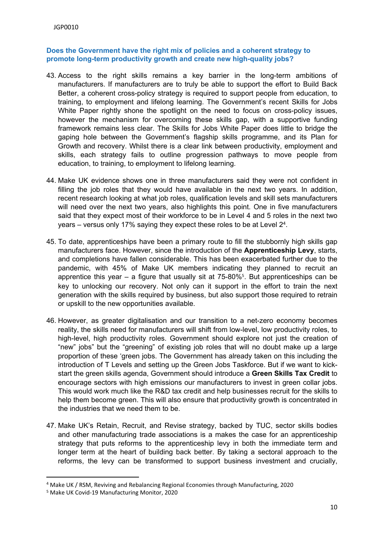#### **Does the Government have the right mix of policies and a coherent strategy to promote long-term productivity growth and create new high-quality jobs?**

- 43. Access to the right skills remains a key barrier in the long-term ambitions of manufacturers. If manufacturers are to truly be able to support the effort to Build Back Better, a coherent cross-policy strategy is required to support people from education, to training, to employment and lifelong learning. The Government's recent Skills for Jobs White Paper rightly shone the spotlight on the need to focus on cross-policy issues, however the mechanism for overcoming these skills gap, with a supportive funding framework remains less clear. The Skills for Jobs White Paper does little to bridge the gaping hole between the Government's flagship skills programme, and its Plan for Growth and recovery. Whilst there is a clear link between productivity, employment and skills, each strategy fails to outline progression pathways to move people from education, to training, to employment to lifelong learning.
- 44. Make UK evidence shows one in three manufacturers said they were not confident in filling the job roles that they would have available in the next two years. In addition, recent research looking at what job roles, qualification levels and skill sets manufacturers will need over the next two years, also highlights this point. One in five manufacturers said that they expect most of their workforce to be in Level 4 and 5 roles in the next two years – versus only 17% saying they expect these roles to be at Level 2 4 .
- 45. To date, apprenticeships have been a primary route to fill the stubbornly high skills gap manufacturers face. However, since the introduction of the **Apprenticeship Levy**, starts, and completions have fallen considerable. This has been exacerbated further due to the pandemic, with 45% of Make UK members indicating they planned to recruit an apprentice this year  $-$  a figure that usually sit at 75-80% $<sup>5</sup>$ . But apprenticeships can be</sup> key to unlocking our recovery. Not only can it support in the effort to train the next generation with the skills required by business, but also support those required to retrain or upskill to the new opportunities available.
- 46. However, as greater digitalisation and our transition to a net-zero economy becomes reality, the skills need for manufacturers will shift from low-level, low productivity roles, to high-level, high productivity roles. Government should explore not just the creation of "new" jobs" but the "greening" of existing job roles that will no doubt make up a large proportion of these 'green jobs. The Government has already taken on this including the introduction of T Levels and setting up the Green Jobs Taskforce. But if we want to kickstart the green skills agenda, Government should introduce a **Green Skills Tax Credit** to encourage sectors with high emissions our manufacturers to invest in green collar jobs. This would work much like the R&D tax credit and help businesses recruit for the skills to help them become green. This will also ensure that productivity growth is concentrated in the industries that we need them to be.
- 47. Make UK's Retain, Recruit, and Revise strategy, backed by TUC, sector skills bodies and other manufacturing trade associations is a makes the case for an apprenticeship strategy that puts reforms to the apprenticeship levy in both the immediate term and longer term at the heart of building back better. By taking a sectoral approach to the reforms, the levy can be transformed to support business investment and crucially,

<sup>4</sup> Make UK / RSM, Reviving and Rebalancing Regional Economies through Manufacturing, 2020

<sup>5</sup> Make UK Covid-19 Manufacturing Monitor, 2020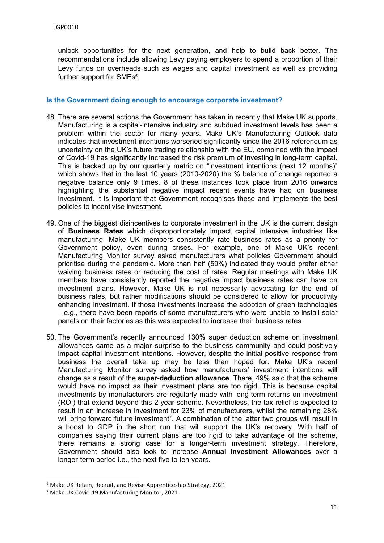unlock opportunities for the next generation, and help to build back better. The recommendations include allowing Levy paying employers to spend a proportion of their Levy funds on overheads such as wages and capital investment as well as providing further support for SMEs<sup>6</sup>.

#### **Is the Government doing enough to encourage corporate investment?**

- 48. There are several actions the Government has taken in recently that Make UK supports. Manufacturing is a capital-intensive industry and subdued investment levels has been a problem within the sector for many years. Make UK's Manufacturing Outlook data indicates that investment intentions worsened significantly since the 2016 referendum as uncertainty on the UK's future trading relationship with the EU, combined with the impact of Covid-19 has significantly increased the risk premium of investing in long-term capital. This is backed up by our quarterly metric on "investment intentions (next 12 months)" which shows that in the last 10 years (2010-2020) the % balance of change reported a negative balance only 9 times. 8 of these instances took place from 2016 onwards highlighting the substantial negative impact recent events have had on business investment. It is important that Government recognises these and implements the best policies to incentivise investment.
- 49. One of the biggest disincentives to corporate investment in the UK is the current design of **Business Rates** which disproportionately impact capital intensive industries like manufacturing. Make UK members consistently rate business rates as a priority for Government policy, even during crises. For example, one of Make UK's recent Manufacturing Monitor survey asked manufacturers what policies Government should prioritise during the pandemic. More than half (59%) indicated they would prefer either waiving business rates or reducing the cost of rates. Regular meetings with Make UK members have consistently reported the negative impact business rates can have on investment plans. However, Make UK is not necessarily advocating for the end of business rates, but rather modifications should be considered to allow for productivity enhancing investment. If those investments increase the adoption of green technologies – e.g., there have been reports of some manufacturers who were unable to install solar panels on their factories as this was expected to increase their business rates.
- 50. The Government's recently announced 130% super deduction scheme on investment allowances came as a major surprise to the business community and could positively impact capital investment intentions. However, despite the initial positive response from business the overall take up may be less than hoped for. Make UK's recent Manufacturing Monitor survey asked how manufacturers' investment intentions will change as a result of the **super-deduction allowance**. There, 49% said that the scheme would have no impact as their investment plans are too rigid. This is because capital investments by manufacturers are regularly made with long-term returns on investment (ROI) that extend beyond this 2-year scheme. Nevertheless, the tax relief is expected to result in an increase in investment for 23% of manufacturers, whilst the remaining 28% will bring forward future investment<sup>7</sup>. A combination of the latter two groups will result in a boost to GDP in the short run that will support the UK's recovery. With half of companies saying their current plans are too rigid to take advantage of the scheme, there remains a strong case for a longer-term investment strategy. Therefore, Government should also look to increase **Annual Investment Allowances** over a longer-term period i.e., the next five to ten years.

<sup>6</sup> Make UK Retain, Recruit, and Revise Apprenticeship Strategy, 2021

<sup>7</sup> Make UK Covid-19 Manufacturing Monitor, 2021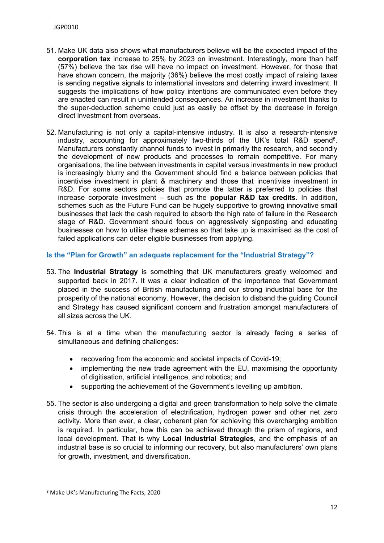- 51. Make UK data also shows what manufacturers believe will be the expected impact of the **corporation tax** increase to 25% by 2023 on investment. Interestingly, more than half (57%) believe the tax rise will have no impact on investment. However, for those that have shown concern, the majority (36%) believe the most costly impact of raising taxes is sending negative signals to international investors and deterring inward investment. It suggests the implications of how policy intentions are communicated even before they are enacted can result in unintended consequences. An increase in investment thanks to the super-deduction scheme could just as easily be offset by the decrease in foreign direct investment from overseas.
- 52. Manufacturing is not only a capital-intensive industry. It is also a research-intensive industry, accounting for approximately two-thirds of the UK's total R&D spend<sup>8</sup>. Manufacturers constantly channel funds to invest in primarily the research, and secondly the development of new products and processes to remain competitive. For many organisations, the line between investments in capital versus investments in new product is increasingly blurry and the Government should find a balance between policies that incentivise investment in plant & machinery and those that incentivise investment in R&D. For some sectors policies that promote the latter is preferred to policies that increase corporate investment – such as the **popular R&D tax credits**. In addition, schemes such as the Future Fund can be hugely supportive to growing innovative small businesses that lack the cash required to absorb the high rate of failure in the Research stage of R&D. Government should focus on aggressively signposting and educating businesses on how to utilise these schemes so that take up is maximised as the cost of failed applications can deter eligible businesses from applying.

#### **Is the "Plan for Growth" an adequate replacement for the "Industrial Strategy"?**

- 53. The **Industrial Strategy** is something that UK manufacturers greatly welcomed and supported back in 2017. It was a clear indication of the importance that Government placed in the success of British manufacturing and our strong industrial base for the prosperity of the national economy. However, the decision to disband the guiding Council and Strategy has caused significant concern and frustration amongst manufacturers of all sizes across the UK.
- 54. This is at a time when the manufacturing sector is already facing a series of simultaneous and defining challenges:
	- recovering from the economic and societal impacts of Covid-19;
	- implementing the new trade agreement with the EU, maximising the opportunity of digitisation, artificial intelligence, and robotics; and
	- supporting the achievement of the Government's levelling up ambition.
- 55. The sector is also undergoing a digital and green transformation to help solve the climate crisis through the acceleration of electrification, hydrogen power and other net zero activity. More than ever, a clear, coherent plan for achieving this overcharging ambition is required. In particular, how this can be achieved through the prism of regions, and local development. That is why **Local Industrial Strategies**, and the emphasis of an industrial base is so crucial to informing our recovery, but also manufacturers' own plans for growth, investment, and diversification.

<sup>8</sup> Make UK's Manufacturing The Facts, 2020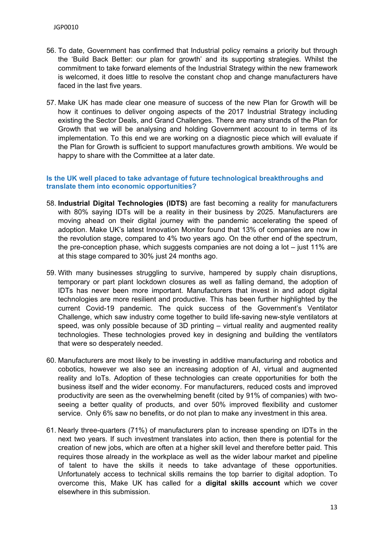- 56. To date, Government has confirmed that Industrial policy remains a priority but through the 'Build Back Better: our plan for growth' and its supporting strategies. Whilst the commitment to take forward elements of the Industrial Strategy within the new framework is welcomed, it does little to resolve the constant chop and change manufacturers have faced in the last five years.
- 57. Make UK has made clear one measure of success of the new Plan for Growth will be how it continues to deliver ongoing aspects of the 2017 Industrial Strategy including existing the Sector Deals, and Grand Challenges. There are many strands of the Plan for Growth that we will be analysing and holding Government account to in terms of its implementation. To this end we are working on a diagnostic piece which will evaluate if the Plan for Growth is sufficient to support manufactures growth ambitions. We would be happy to share with the Committee at a later date.

#### **Is the UK well placed to take advantage of future technological breakthroughs and translate them into economic opportunities?**

- 58. **Industrial Digital Technologies (IDTS)** are fast becoming a reality for manufacturers with 80% saying IDTs will be a reality in their business by 2025. Manufacturers are moving ahead on their digital journey with the pandemic accelerating the speed of adoption. Make UK's latest Innovation Monitor found that 13% of companies are now in the revolution stage, compared to 4% two years ago. On the other end of the spectrum, the pre-conception phase, which suggests companies are not doing a lot – just 11% are at this stage compared to 30% just 24 months ago.
- 59. With many businesses struggling to survive, hampered by supply chain disruptions, temporary or part plant lockdown closures as well as falling demand, the adoption of IDTs has never been more important. Manufacturers that invest in and adopt digital technologies are more resilient and productive. This has been further highlighted by the current Covid-19 pandemic. The quick success of the Government's Ventilator Challenge, which saw industry come together to build life-saving new-style ventilators at speed, was only possible because of 3D printing – virtual reality and augmented reality technologies. These technologies proved key in designing and building the ventilators that were so desperately needed.
- 60. Manufacturers are most likely to be investing in additive manufacturing and robotics and cobotics, however we also see an increasing adoption of AI, virtual and augmented reality and IoTs. Adoption of these technologies can create opportunities for both the business itself and the wider economy. For manufacturers, reduced costs and improved productivity are seen as the overwhelming benefit (cited by 91% of companies) with twoseeing a better quality of products, and over 50% improved flexibility and customer service. Only 6% saw no benefits, or do not plan to make any investment in this area.
- 61. Nearly three-quarters (71%) of manufacturers plan to increase spending on IDTs in the next two years. If such investment translates into action, then there is potential for the creation of new jobs, which are often at a higher skill level and therefore better paid. This requires those already in the workplace as well as the wider labour market and pipeline of talent to have the skills it needs to take advantage of these opportunities. Unfortunately access to technical skills remains the top barrier to digital adoption. To overcome this, Make UK has called for a **digital skills account** which we cover elsewhere in this submission.